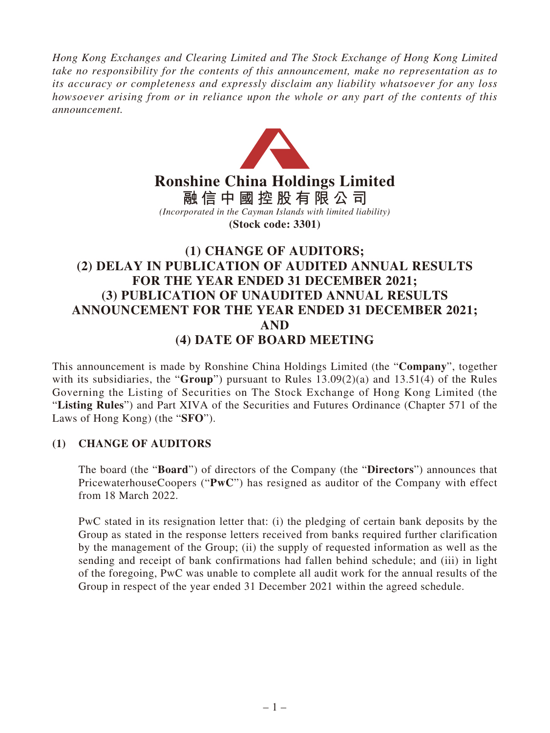*Hong Kong Exchanges and Clearing Limited and The Stock Exchange of Hong Kong Limited take no responsibility for the contents of this announcement, make no representation as to its accuracy or completeness and expressly disclaim any liability whatsoever for any loss howsoever arising from or in reliance upon the whole or any part of the contents of this announcement.*



# **Ronshine China Holdings Limited**

**融信中國控股有限公司** *(Incorporated in the Cayman Islands with limited liability)* **(Stock code: 3301)**

# **(1) CHANGE OF AUDITORS; (2) DELAY IN PUBLICATION OF AUDITED ANNUAL RESULTS FOR THE YEAR ENDED 31 DECEMBER 2021; (3) PUBLICATION OF UNAUDITED ANNUAL RESULTS ANNOUNCEMENT FOR THE YEAR ENDED 31 DECEMBER 2021; AND (4) DATE OF BOARD MEETING**

This announcement is made by Ronshine China Holdings Limited (the "**Company**", together with its subsidiaries, the "**Group**") pursuant to Rules 13.09(2)(a) and 13.51(4) of the Rules Governing the Listing of Securities on The Stock Exchange of Hong Kong Limited (the "**Listing Rules**") and Part XIVA of the Securities and Futures Ordinance (Chapter 571 of the Laws of Hong Kong) (the "**SFO**").

## **(1) CHANGE OF AUDITORS**

The board (the "**Board**") of directors of the Company (the "**Directors**") announces that PricewaterhouseCoopers ("**PwC**") has resigned as auditor of the Company with effect from 18 March 2022.

PwC stated in its resignation letter that: (i) the pledging of certain bank deposits by the Group as stated in the response letters received from banks required further clarification by the management of the Group; (ii) the supply of requested information as well as the sending and receipt of bank confirmations had fallen behind schedule; and (iii) in light of the foregoing, PwC was unable to complete all audit work for the annual results of the Group in respect of the year ended 31 December 2021 within the agreed schedule.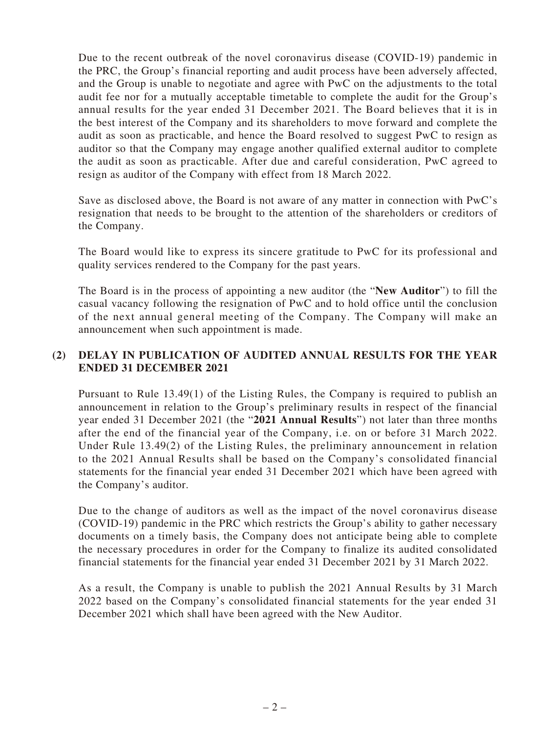Due to the recent outbreak of the novel coronavirus disease (COVID-19) pandemic in the PRC, the Group's financial reporting and audit process have been adversely affected, and the Group is unable to negotiate and agree with PwC on the adjustments to the total audit fee nor for a mutually acceptable timetable to complete the audit for the Group's annual results for the year ended 31 December 2021. The Board believes that it is in the best interest of the Company and its shareholders to move forward and complete the audit as soon as practicable, and hence the Board resolved to suggest PwC to resign as auditor so that the Company may engage another qualified external auditor to complete the audit as soon as practicable. After due and careful consideration, PwC agreed to resign as auditor of the Company with effect from 18 March 2022.

Save as disclosed above, the Board is not aware of any matter in connection with PwC's resignation that needs to be brought to the attention of the shareholders or creditors of the Company.

The Board would like to express its sincere gratitude to PwC for its professional and quality services rendered to the Company for the past years.

The Board is in the process of appointing a new auditor (the "**New Auditor**") to fill the casual vacancy following the resignation of PwC and to hold office until the conclusion of the next annual general meeting of the Company. The Company will make an announcement when such appointment is made.

# **(2) DELAY IN PUBLICATION OF AUDITED ANNUAL RESULTS FOR THE YEAR ENDED 31 DECEMBER 2021**

Pursuant to Rule 13.49(1) of the Listing Rules, the Company is required to publish an announcement in relation to the Group's preliminary results in respect of the financial year ended 31 December 2021 (the "**2021 Annual Results**") not later than three months after the end of the financial year of the Company, i.e. on or before 31 March 2022. Under Rule 13.49(2) of the Listing Rules, the preliminary announcement in relation to the 2021 Annual Results shall be based on the Company's consolidated financial statements for the financial year ended 31 December 2021 which have been agreed with the Company's auditor.

Due to the change of auditors as well as the impact of the novel coronavirus disease (COVID-19) pandemic in the PRC which restricts the Group's ability to gather necessary documents on a timely basis, the Company does not anticipate being able to complete the necessary procedures in order for the Company to finalize its audited consolidated financial statements for the financial year ended 31 December 2021 by 31 March 2022.

As a result, the Company is unable to publish the 2021 Annual Results by 31 March 2022 based on the Company's consolidated financial statements for the year ended 31 December 2021 which shall have been agreed with the New Auditor.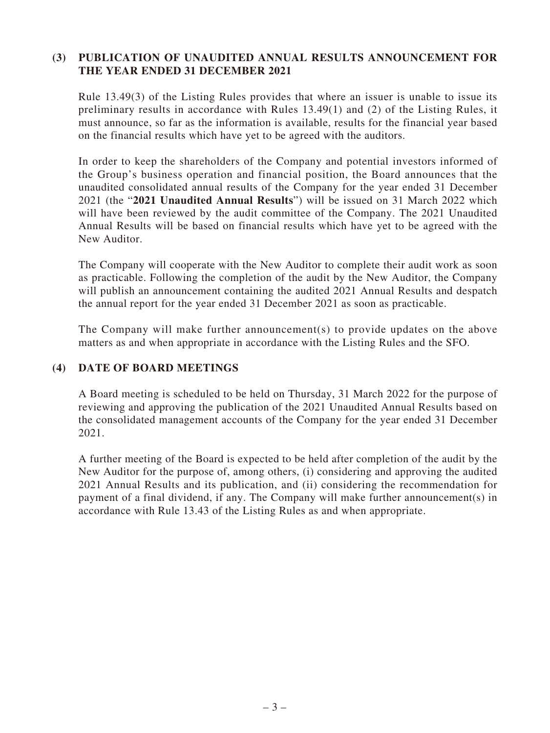### **(3) PUBLICATION OF UNAUDITED ANNUAL RESULTS ANNOUNCEMENT FOR THE YEAR ENDED 31 DECEMBER 2021**

Rule 13.49(3) of the Listing Rules provides that where an issuer is unable to issue its preliminary results in accordance with Rules 13.49(1) and (2) of the Listing Rules, it must announce, so far as the information is available, results for the financial year based on the financial results which have yet to be agreed with the auditors.

In order to keep the shareholders of the Company and potential investors informed of the Group's business operation and financial position, the Board announces that the unaudited consolidated annual results of the Company for the year ended 31 December 2021 (the "**2021 Unaudited Annual Results**") will be issued on 31 March 2022 which will have been reviewed by the audit committee of the Company. The 2021 Unaudited Annual Results will be based on financial results which have yet to be agreed with the New Auditor.

The Company will cooperate with the New Auditor to complete their audit work as soon as practicable. Following the completion of the audit by the New Auditor, the Company will publish an announcement containing the audited 2021 Annual Results and despatch the annual report for the year ended 31 December 2021 as soon as practicable.

The Company will make further announcement(s) to provide updates on the above matters as and when appropriate in accordance with the Listing Rules and the SFO.

### **(4) DATE OF BOARD MEETINGS**

A Board meeting is scheduled to be held on Thursday, 31 March 2022 for the purpose of reviewing and approving the publication of the 2021 Unaudited Annual Results based on the consolidated management accounts of the Company for the year ended 31 December 2021.

A further meeting of the Board is expected to be held after completion of the audit by the New Auditor for the purpose of, among others, (i) considering and approving the audited 2021 Annual Results and its publication, and (ii) considering the recommendation for payment of a final dividend, if any. The Company will make further announcement(s) in accordance with Rule 13.43 of the Listing Rules as and when appropriate.